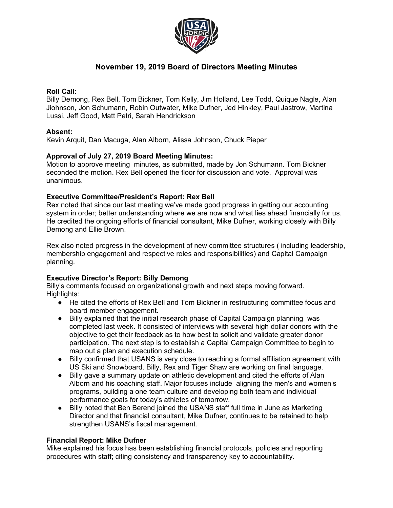

# **November 19, 2019 Board of Directors Meeting Minutes**

## **Roll Call:**

Billy Demong, Rex Bell, Tom Bickner, Tom Kelly, Jim Holland, Lee Todd, Quique Nagle, Alan Jiohnson, Jon Schumann, Robin Outwater, Mike Dufner, Jed Hinkley, Paul Jastrow, Martina Lussi, Jeff Good, Matt Petri, Sarah Hendrickson

## **Absent:**

Kevin Arquit, Dan Macuga, Alan Alborn, Alissa Johnson, Chuck Pieper

## **Approval of July 27, 2019 Board Meeting Minutes:**

Motion to approve meeting minutes, as submitted, made by Jon Schumann. Tom Bickner seconded the motion. Rex Bell opened the floor for discussion and vote. Approval was unanimous.

## **Executive Committee/President's Report: Rex Bell**

Rex noted that since our last meeting we've made good progress in getting our accounting system in order; better understanding where we are now and what lies ahead financially for us. He credited the ongoing efforts of financial consultant, Mike Dufner, working closely with Billy Demong and Ellie Brown.

Rex also noted progress in the development of new committee structures ( including leadership, membership engagement and respective roles and responsibilities) and Capital Campaign planning.

## **Executive Director's Report: Billy Demong**

Billy's comments focused on organizational growth and next steps moving forward. Highlights:

- He cited the efforts of Rex Bell and Tom Bickner in restructuring committee focus and board member engagement.
- Billy explained that the initial research phase of Capital Campaign planning was completed last week. It consisted of interviews with several high dollar donors with the objective to get their feedback as to how best to solicit and validate greater donor participation. The next step is to establish a Capital Campaign Committee to begin to map out a plan and execution schedule.
- Billy confirmed that USANS is very close to reaching a formal affiliation agreement with US Ski and Snowboard. Billy, Rex and Tiger Shaw are working on final language.
- Billy gave a summary update on athletic development and cited the efforts of Alan Alborn and his coaching staff. Major focuses include aligning the men's and women's programs, building a one team culture and developing both team and individual performance goals for today's athletes of tomorrow.
- Billy noted that Ben Berend joined the USANS staff full time in June as Marketing Director and that financial consultant, Mike Dufner, continues to be retained to help strengthen USANS's fiscal management.

### **Financial Report: Mike Dufner**

Mike explained his focus has been establishing financial protocols, policies and reporting procedures with staff; citing consistency and transparency key to accountability.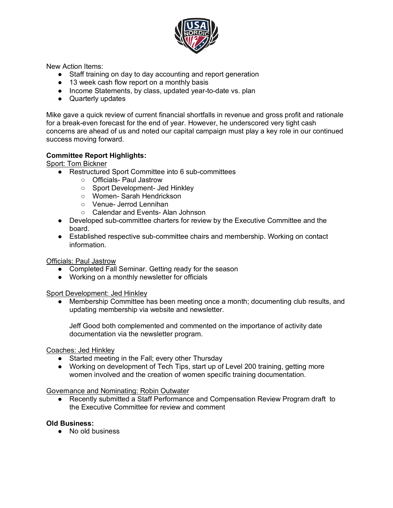

New Action Items:

- Staff training on day to day accounting and report generation
- 13 week cash flow report on a monthly basis
- Income Statements, by class, updated year-to-date vs. plan
- Quarterly updates

Mike gave a quick review of current financial shortfalls in revenue and gross profit and rationale for a break-even forecast for the end of year. However, he underscored very tight cash concerns are ahead of us and noted our capital campaign must play a key role in our continued success moving forward.

## **Committee Report Highlights:**

Sport: Tom Bickner

- Restructured Sport Committee into 6 sub-committees
	- Officials- Paul Jastrow
	- Sport Development- Jed Hinkley
	- Women- Sarah Hendrickson
	- Venue- Jerrod Lennihan
	- Calendar and Events- Alan Johnson
- Developed sub-committee charters for review by the Executive Committee and the board.
- Established respective sub-committee chairs and membership. Working on contact information.

Officials: Paul Jastrow

- Completed Fall Seminar. Getting ready for the season
- Working on a monthly newsletter for officials

Sport Development: Jed Hinkley

Membership Committee has been meeting once a month; documenting club results, and updating membership via website and newsletter.

Jeff Good both complemented and commented on the importance of activity date documentation via the newsletter program.

Coaches: Jed Hinkley

- Started meeting in the Fall; every other Thursday
- Working on development of Tech Tips, start up of Level 200 training, getting more women involved and the creation of women specific training documentation.

Governance and Nominating: Robin Outwater

● Recently submitted a Staff Performance and Compensation Review Program draft to the Executive Committee for review and comment

#### **Old Business:**

● No old business